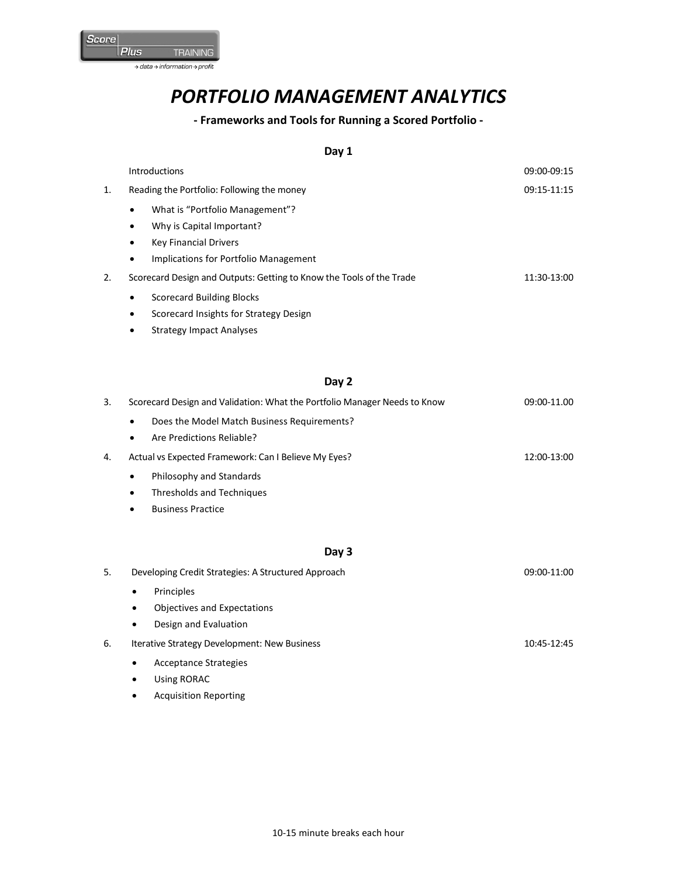

# *PORTFOLIO MANAGEMENT ANALYTICS*

## **- Frameworks and Tools for Running a Scored Portfolio -**

### **Day 1**

|    |           | <b>Introductions</b>                                                 | 09:00-09:15 |
|----|-----------|----------------------------------------------------------------------|-------------|
| 1. |           | Reading the Portfolio: Following the money                           | 09:15-11:15 |
|    | $\bullet$ | What is "Portfolio Management"?                                      |             |
|    | $\bullet$ | Why is Capital Important?                                            |             |
|    | $\bullet$ | <b>Key Financial Drivers</b>                                         |             |
|    | ٠         | Implications for Portfolio Management                                |             |
| 2. |           | Scorecard Design and Outputs: Getting to Know the Tools of the Trade | 11:30-13:00 |
|    | $\bullet$ | Scorecard Building Blocks                                            |             |
|    | ٠         | Scorecard Insights for Strategy Design                               |             |
|    | ٠         | <b>Strategy Impact Analyses</b>                                      |             |

#### **Day 2**

| 3. | Scorecard Design and Validation: What the Portfolio Manager Needs to Know |  |  |
|----|---------------------------------------------------------------------------|--|--|
|    | Does the Model Match Business Requirements?<br>$\bullet$                  |  |  |
|    | Are Predictions Reliable?<br>$\bullet$                                    |  |  |
| 4. | Actual vs Expected Framework: Can I Believe My Eyes?<br>12:00-13:00       |  |  |
|    | Philosophy and Standards<br>$\bullet$                                     |  |  |
|    | Thresholds and Techniques<br>$\bullet$                                    |  |  |
|    | <b>Business Practice</b>                                                  |  |  |

### **Day 3**

| Developing Credit Strategies: A Structured Approach |                             |  |
|-----------------------------------------------------|-----------------------------|--|
| $\bullet$                                           | Principles                  |  |
| $\bullet$                                           | Objectives and Expectations |  |
| ٠                                                   | Design and Evaluation       |  |
|                                                     |                             |  |

- 6. Iterative Strategy Development: New Business 10:45-12:45
	- Acceptance Strategies
	- Using RORAC
	- Acquisition Reporting